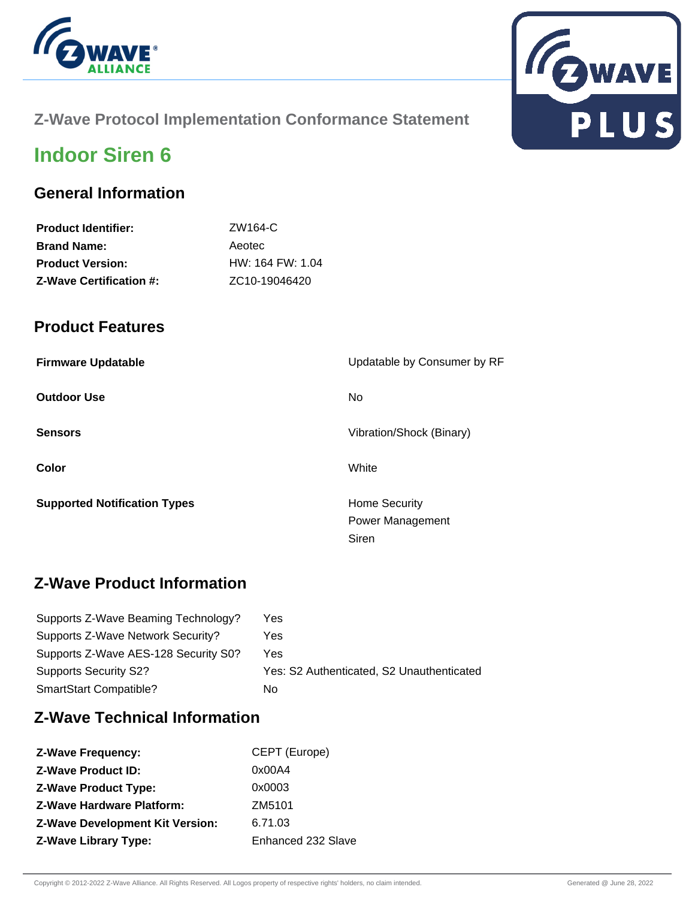



## **Z-Wave Protocol Implementation Conformance Statement**

# **Indoor Siren 6**

### **General Information**

| <b>Product Identifier:</b>     | ZW164-C                    |
|--------------------------------|----------------------------|
| <b>Brand Name:</b>             | Aeotec                     |
| <b>Product Version:</b>        | $HW: 164$ FW: 1.04         |
| <b>Z-Wave Certification #:</b> | ZC <sub>10</sub> -19046420 |
|                                |                            |

### **Product Features**

| <b>Firmware Updatable</b>           | Updatable by Consumer by RF |
|-------------------------------------|-----------------------------|
| <b>Outdoor Use</b>                  | No.                         |
| <b>Sensors</b>                      | Vibration/Shock (Binary)    |
| Color                               | White                       |
| <b>Supported Notification Types</b> | <b>Home Security</b>        |
|                                     | Power Management            |
|                                     | Siren                       |

# **Z-Wave Product Information**

| Supports Z-Wave Beaming Technology?  | Yes                                       |
|--------------------------------------|-------------------------------------------|
| Supports Z-Wave Network Security?    | Yes                                       |
| Supports Z-Wave AES-128 Security S0? | Yes                                       |
| Supports Security S2?                | Yes: S2 Authenticated, S2 Unauthenticated |
| SmartStart Compatible?               | No                                        |

# **Z-Wave Technical Information**

| <b>Z-Wave Frequency:</b>               | CEPT (Europe)      |
|----------------------------------------|--------------------|
| <b>Z-Wave Product ID:</b>              | 0x00A4             |
| <b>Z-Wave Product Type:</b>            | 0x0003             |
| <b>Z-Wave Hardware Platform:</b>       | ZM5101             |
| <b>Z-Wave Development Kit Version:</b> | 6.71.03            |
| <b>Z-Wave Library Type:</b>            | Enhanced 232 Slave |
|                                        |                    |